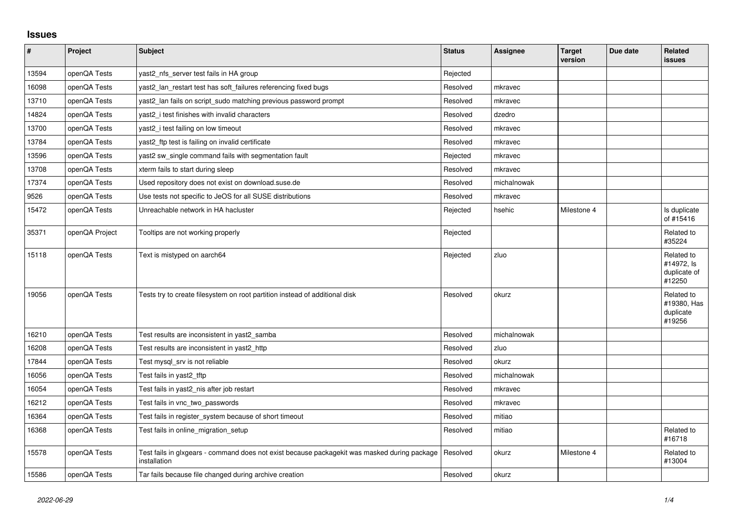## **Issues**

| $\vert$ # | Project        | <b>Subject</b>                                                                                               | <b>Status</b> | <b>Assignee</b> | <b>Target</b><br>version | Due date | Related<br><b>issues</b>                           |
|-----------|----------------|--------------------------------------------------------------------------------------------------------------|---------------|-----------------|--------------------------|----------|----------------------------------------------------|
| 13594     | openQA Tests   | yast2 nfs server test fails in HA group                                                                      | Rejected      |                 |                          |          |                                                    |
| 16098     | openQA Tests   | yast2_lan_restart test has soft_failures referencing fixed bugs                                              | Resolved      | mkravec         |                          |          |                                                    |
| 13710     | openQA Tests   | yast2 lan fails on script sudo matching previous password prompt                                             | Resolved      | mkravec         |                          |          |                                                    |
| 14824     | openQA Tests   | yast2 i test finishes with invalid characters                                                                | Resolved      | dzedro          |                          |          |                                                    |
| 13700     | openQA Tests   | yast2_i test failing on low timeout                                                                          | Resolved      | mkravec         |                          |          |                                                    |
| 13784     | openQA Tests   | yast2_ftp test is failing on invalid certificate                                                             | Resolved      | mkravec         |                          |          |                                                    |
| 13596     | openQA Tests   | yast2 sw single command fails with segmentation fault                                                        | Rejected      | mkravec         |                          |          |                                                    |
| 13708     | openQA Tests   | xterm fails to start during sleep                                                                            | Resolved      | mkravec         |                          |          |                                                    |
| 17374     | openQA Tests   | Used repository does not exist on download.suse.de                                                           | Resolved      | michalnowak     |                          |          |                                                    |
| 9526      | openQA Tests   | Use tests not specific to JeOS for all SUSE distributions                                                    | Resolved      | mkravec         |                          |          |                                                    |
| 15472     | openQA Tests   | Unreachable network in HA hacluster                                                                          | Rejected      | hsehic          | Milestone 4              |          | Is duplicate<br>of #15416                          |
| 35371     | openQA Project | Tooltips are not working properly                                                                            | Rejected      |                 |                          |          | Related to<br>#35224                               |
| 15118     | openQA Tests   | Text is mistyped on aarch64                                                                                  | Rejected      | zluo            |                          |          | Related to<br>#14972, Is<br>duplicate of<br>#12250 |
| 19056     | openQA Tests   | Tests try to create filesystem on root partition instead of additional disk                                  | Resolved      | okurz           |                          |          | Related to<br>#19380, Has<br>duplicate<br>#19256   |
| 16210     | openQA Tests   | Test results are inconsistent in yast2_samba                                                                 | Resolved      | michalnowak     |                          |          |                                                    |
| 16208     | openQA Tests   | Test results are inconsistent in yast2 http                                                                  | Resolved      | zluo            |                          |          |                                                    |
| 17844     | openQA Tests   | Test mysql_srv is not reliable                                                                               | Resolved      | okurz           |                          |          |                                                    |
| 16056     | openQA Tests   | Test fails in yast2_tftp                                                                                     | Resolved      | michalnowak     |                          |          |                                                    |
| 16054     | openQA Tests   | Test fails in yast2_nis after job restart                                                                    | Resolved      | mkravec         |                          |          |                                                    |
| 16212     | openQA Tests   | Test fails in vnc two passwords                                                                              | Resolved      | mkravec         |                          |          |                                                    |
| 16364     | openQA Tests   | Test fails in register_system because of short timeout                                                       | Resolved      | mitiao          |                          |          |                                                    |
| 16368     | openQA Tests   | Test fails in online_migration_setup                                                                         | Resolved      | mitiao          |                          |          | Related to<br>#16718                               |
| 15578     | openQA Tests   | Test fails in glxgears - command does not exist because packagekit was masked during package<br>installation | Resolved      | okurz           | Milestone 4              |          | Related to<br>#13004                               |
| 15586     | openQA Tests   | Tar fails because file changed during archive creation                                                       | Resolved      | okurz           |                          |          |                                                    |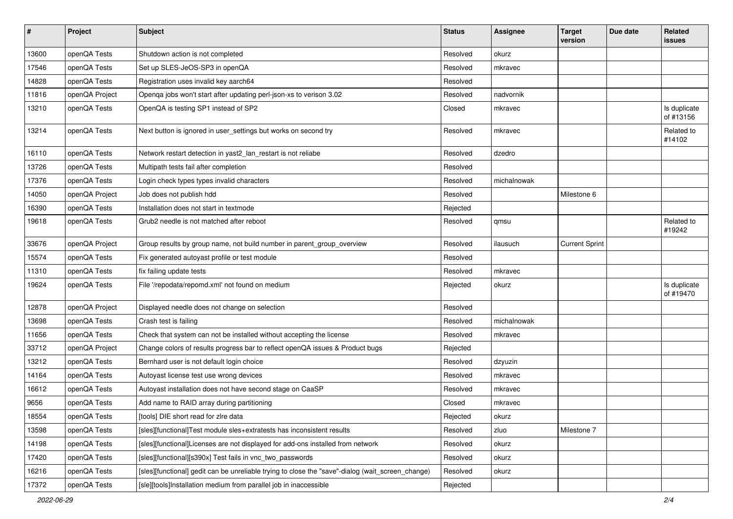| $\pmb{\#}$ | Project        | <b>Subject</b>                                                                                    | <b>Status</b> | <b>Assignee</b> | <b>Target</b><br>version | Due date | Related<br>issues         |
|------------|----------------|---------------------------------------------------------------------------------------------------|---------------|-----------------|--------------------------|----------|---------------------------|
| 13600      | openQA Tests   | Shutdown action is not completed                                                                  | Resolved      | okurz           |                          |          |                           |
| 17546      | openQA Tests   | Set up SLES-JeOS-SP3 in openQA                                                                    | Resolved      | mkravec         |                          |          |                           |
| 14828      | openQA Tests   | Registration uses invalid key aarch64                                                             | Resolved      |                 |                          |          |                           |
| 11816      | openQA Project | Openqa jobs won't start after updating perl-json-xs to verison 3.02                               | Resolved      | nadvornik       |                          |          |                           |
| 13210      | openQA Tests   | OpenQA is testing SP1 instead of SP2                                                              | Closed        | mkravec         |                          |          | Is duplicate<br>of #13156 |
| 13214      | openQA Tests   | Next button is ignored in user_settings but works on second try                                   | Resolved      | mkravec         |                          |          | Related to<br>#14102      |
| 16110      | openQA Tests   | Network restart detection in yast2_lan_restart is not reliabe                                     | Resolved      | dzedro          |                          |          |                           |
| 13726      | openQA Tests   | Multipath tests fail after completion                                                             | Resolved      |                 |                          |          |                           |
| 17376      | openQA Tests   | Login check types types invalid characters                                                        | Resolved      | michalnowak     |                          |          |                           |
| 14050      | openQA Project | Job does not publish hdd                                                                          | Resolved      |                 | Milestone 6              |          |                           |
| 16390      | openQA Tests   | Installation does not start in textmode                                                           | Rejected      |                 |                          |          |                           |
| 19618      | openQA Tests   | Grub <sub>2</sub> needle is not matched after reboot                                              | Resolved      | qmsu            |                          |          | Related to<br>#19242      |
| 33676      | openQA Project | Group results by group name, not build number in parent_group_overview                            | Resolved      | ilausuch        | <b>Current Sprint</b>    |          |                           |
| 15574      | openQA Tests   | Fix generated autoyast profile or test module                                                     | Resolved      |                 |                          |          |                           |
| 11310      | openQA Tests   | fix failing update tests                                                                          | Resolved      | mkravec         |                          |          |                           |
| 19624      | openQA Tests   | File '/repodata/repomd.xml' not found on medium                                                   | Rejected      | okurz           |                          |          | Is duplicate<br>of #19470 |
| 12878      | openQA Project | Displayed needle does not change on selection                                                     | Resolved      |                 |                          |          |                           |
| 13698      | openQA Tests   | Crash test is failing                                                                             | Resolved      | michalnowak     |                          |          |                           |
| 11656      | openQA Tests   | Check that system can not be installed without accepting the license                              | Resolved      | mkravec         |                          |          |                           |
| 33712      | openQA Project | Change colors of results progress bar to reflect openQA issues & Product bugs                     | Rejected      |                 |                          |          |                           |
| 13212      | openQA Tests   | Bernhard user is not default login choice                                                         | Resolved      | dzyuzin         |                          |          |                           |
| 14164      | openQA Tests   | Autoyast license test use wrong devices                                                           | Resolved      | mkravec         |                          |          |                           |
| 16612      | openQA Tests   | Autoyast installation does not have second stage on CaaSP                                         | Resolved      | mkravec         |                          |          |                           |
| 9656       | openQA Tests   | Add name to RAID array during partitioning                                                        | Closed        | mkravec         |                          |          |                           |
| 18554      | openQA Tests   | [tools] DIE short read for zire data                                                              | Rejected      | okurz           |                          |          |                           |
| 13598      | openQA Tests   | [sles][functional]Test module sles+extratests has inconsistent results                            | Resolved      | zluo            | Milestone 7              |          |                           |
| 14198      | openQA Tests   | [sles][functional]Licenses are not displayed for add-ons installed from network                   | Resolved      | okurz           |                          |          |                           |
| 17420      | openQA Tests   | [sles][functional][s390x] Test fails in vnc_two_passwords                                         | Resolved      | okurz           |                          |          |                           |
| 16216      | openQA Tests   | [sles][functional] gedit can be unreliable trying to close the "save"-dialog (wait_screen_change) | Resolved      | okurz           |                          |          |                           |
| 17372      | openQA Tests   | [sle][tools]Installation medium from parallel job in inaccessible                                 | Rejected      |                 |                          |          |                           |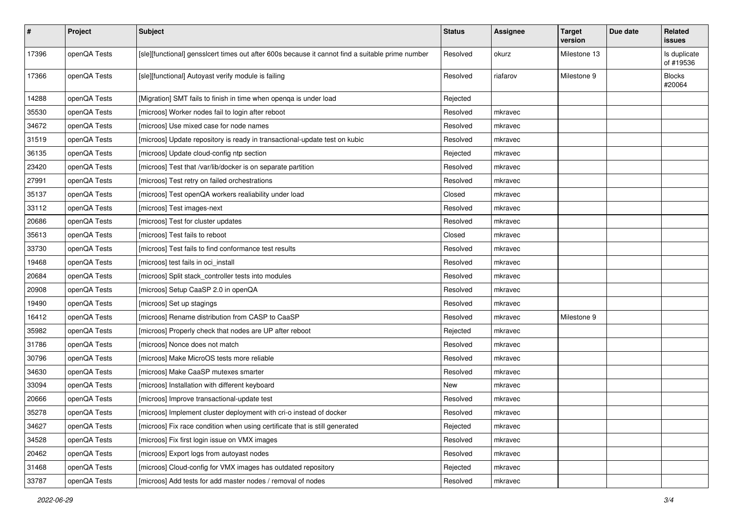| $\sharp$ | Project      | <b>Subject</b>                                                                                   | <b>Status</b> | <b>Assignee</b> | <b>Target</b><br>version | Due date | Related<br><b>issues</b>  |
|----------|--------------|--------------------------------------------------------------------------------------------------|---------------|-----------------|--------------------------|----------|---------------------------|
| 17396    | openQA Tests | [sle][functional] gensslcert times out after 600s because it cannot find a suitable prime number | Resolved      | okurz           | Milestone 13             |          | Is duplicate<br>of #19536 |
| 17366    | openQA Tests | [sle][functional] Autoyast verify module is failing                                              | Resolved      | riafarov        | Milestone 9              |          | <b>Blocks</b><br>#20064   |
| 14288    | openQA Tests | [Migration] SMT fails to finish in time when openga is under load                                | Rejected      |                 |                          |          |                           |
| 35530    | openQA Tests | [microos] Worker nodes fail to login after reboot                                                | Resolved      | mkravec         |                          |          |                           |
| 34672    | openQA Tests | [microos] Use mixed case for node names                                                          | Resolved      | mkravec         |                          |          |                           |
| 31519    | openQA Tests | [microos] Update repository is ready in transactional-update test on kubic                       | Resolved      | mkravec         |                          |          |                           |
| 36135    | openQA Tests | [microos] Update cloud-config ntp section                                                        | Rejected      | mkravec         |                          |          |                           |
| 23420    | openQA Tests | [microos] Test that /var/lib/docker is on separate partition                                     | Resolved      | mkravec         |                          |          |                           |
| 27991    | openQA Tests | [microos] Test retry on failed orchestrations                                                    | Resolved      | mkravec         |                          |          |                           |
| 35137    | openQA Tests | [microos] Test openQA workers realiability under load                                            | Closed        | mkravec         |                          |          |                           |
| 33112    | openQA Tests | [microos] Test images-next                                                                       | Resolved      | mkravec         |                          |          |                           |
| 20686    | openQA Tests | [microos] Test for cluster updates                                                               | Resolved      | mkravec         |                          |          |                           |
| 35613    | openQA Tests | [microos] Test fails to reboot                                                                   | Closed        | mkravec         |                          |          |                           |
| 33730    | openQA Tests | [microos] Test fails to find conformance test results                                            | Resolved      | mkravec         |                          |          |                           |
| 19468    | openQA Tests | [microos] test fails in oci_install                                                              | Resolved      | mkravec         |                          |          |                           |
| 20684    | openQA Tests | [microos] Split stack controller tests into modules                                              | Resolved      | mkravec         |                          |          |                           |
| 20908    | openQA Tests | [microos] Setup CaaSP 2.0 in openQA                                                              | Resolved      | mkravec         |                          |          |                           |
| 19490    | openQA Tests | [microos] Set up stagings                                                                        | Resolved      | mkravec         |                          |          |                           |
| 16412    | openQA Tests | [microos] Rename distribution from CASP to CaaSP                                                 | Resolved      | mkravec         | Milestone 9              |          |                           |
| 35982    | openQA Tests | [microos] Properly check that nodes are UP after reboot                                          | Rejected      | mkravec         |                          |          |                           |
| 31786    | openQA Tests | [microos] Nonce does not match                                                                   | Resolved      | mkravec         |                          |          |                           |
| 30796    | openQA Tests | [microos] Make MicroOS tests more reliable                                                       | Resolved      | mkravec         |                          |          |                           |
| 34630    | openQA Tests | [microos] Make CaaSP mutexes smarter                                                             | Resolved      | mkravec         |                          |          |                           |
| 33094    | openQA Tests | [microos] Installation with different keyboard                                                   | New           | mkravec         |                          |          |                           |
| 20666    | openQA Tests | [microos] Improve transactional-update test                                                      | Resolved      | mkravec         |                          |          |                           |
| 35278    | openQA Tests | [microos] Implement cluster deployment with cri-o instead of docker                              | Resolved      | mkravec         |                          |          |                           |
| 34627    | openQA Tests | [microos] Fix race condition when using certificate that is still generated                      | Rejected      | mkravec         |                          |          |                           |
| 34528    | openQA Tests | [microos] Fix first login issue on VMX images                                                    | Resolved      | mkravec         |                          |          |                           |
| 20462    | openQA Tests | [microos] Export logs from autoyast nodes                                                        | Resolved      | mkravec         |                          |          |                           |
| 31468    | openQA Tests | [microos] Cloud-config for VMX images has outdated repository                                    | Rejected      | mkravec         |                          |          |                           |
| 33787    | openQA Tests | [microos] Add tests for add master nodes / removal of nodes                                      | Resolved      | mkravec         |                          |          |                           |